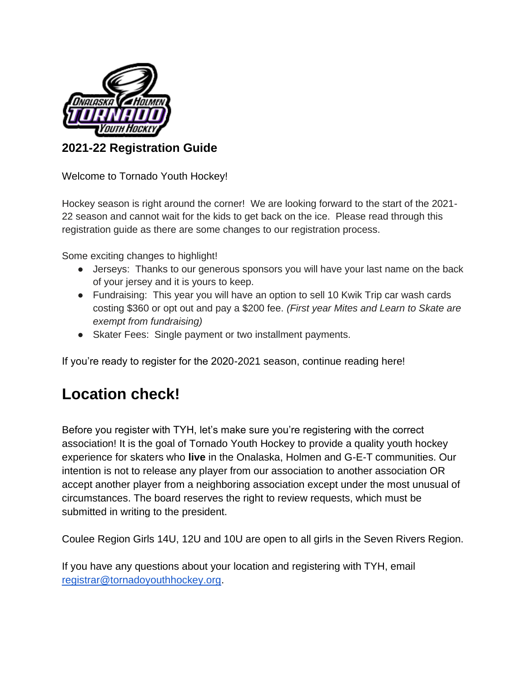

# **2021-22 Registration Guide**

Welcome to Tornado Youth Hockey!

Hockey season is right around the corner! We are looking forward to the start of the 2021- 22 season and cannot wait for the kids to get back on the ice. Please read through this registration guide as there are some changes to our registration process.

Some exciting changes to highlight!

- Jerseys: Thanks to our generous sponsors you will have your last name on the back of your jersey and it is yours to keep.
- Fundraising: This year you will have an option to sell 10 Kwik Trip car wash cards costing \$360 or opt out and pay a \$200 fee. *(First year Mites and Learn to Skate are exempt from fundraising)*
- Skater Fees: Single payment or two installment payments.

If you're ready to register for the 2020-2021 season, continue reading here!

# **Location check!**

Before you register with TYH, let's make sure you're registering with the correct association! It is the goal of Tornado Youth Hockey to provide a quality youth hockey experience for skaters who **live** in the Onalaska, Holmen and G-E-T communities. Our intention is not to release any player from our association to another association OR accept another player from a neighboring association except under the most unusual of circumstances. The board reserves the right to review requests, which must be submitted in writing to the president.

Coulee Region Girls 14U, 12U and 10U are open to all girls in the Seven Rivers Region.

If you have any questions about your location and registering with TYH, email [registrar@tornadoyouthhockey.org.](mailto:registrar@tornadoyouthhockey.org)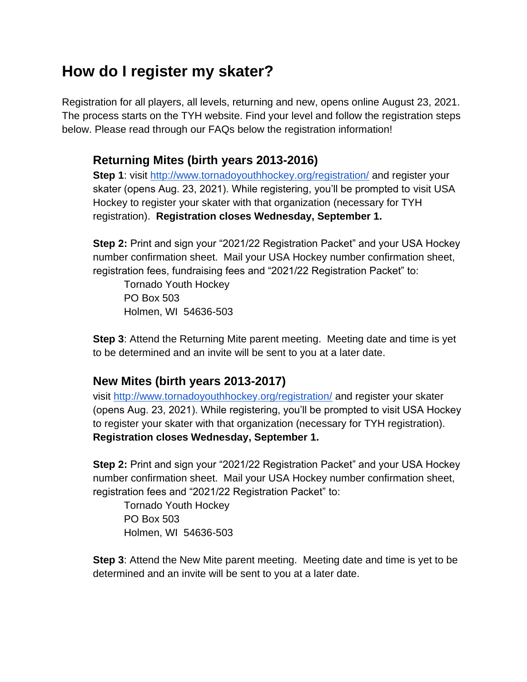# **How do I register my skater?**

Registration for all players, all levels, returning and new, opens online August 23, 2021. The process starts on the TYH website. Find your level and follow the registration steps below. Please read through our FAQs below the registration information!

# **Returning Mites (birth years 2013-2016)**

**Step 1**: visit<http://www.tornadoyouthhockey.org/registration/> and register your skater (opens Aug. 23, 2021). While registering, you'll be prompted to visit USA Hockey to register your skater with that organization (necessary for TYH registration). **Registration closes Wednesday, September 1.**

**Step 2:** Print and sign your "2021/22 Registration Packet" and your USA Hockey number confirmation sheet. Mail your USA Hockey number confirmation sheet, registration fees, fundraising fees and "2021/22 Registration Packet" to:

Tornado Youth Hockey PO Box 503 Holmen, WI 54636-503

**Step 3**: Attend the Returning Mite parent meeting. Meeting date and time is yet to be determined and an invite will be sent to you at a later date.

# **New Mites (birth years 2013-2017)**

visit<http://www.tornadoyouthhockey.org/registration/> and register your skater (opens Aug. 23, 2021). While registering, you'll be prompted to visit USA Hockey to register your skater with that organization (necessary for TYH registration). **Registration closes Wednesday, September 1.**

**Step 2:** Print and sign your "2021/22 Registration Packet" and your USA Hockey number confirmation sheet. Mail your USA Hockey number confirmation sheet, registration fees and "2021/22 Registration Packet" to:

Tornado Youth Hockey PO Box 503 Holmen, WI 54636-503

**Step 3**: Attend the New Mite parent meeting. Meeting date and time is yet to be determined and an invite will be sent to you at a later date.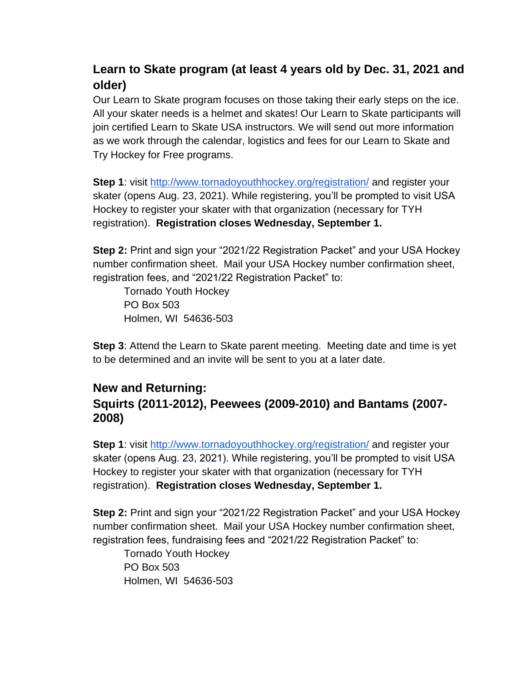# **Learn to Skate program (at least 4 years old by Dec. 31, 2021 and older)**

Our Learn to Skate program focuses on those taking their early steps on the ice. All your skater needs is a helmet and skates! Our Learn to Skate participants will join certified Learn to Skate USA instructors. We will send out more information as we work through the calendar, logistics and fees for our Learn to Skate and Try Hockey for Free programs.

**Step 1**: visit<http://www.tornadoyouthhockey.org/registration/> and register your skater (opens Aug. 23, 2021). While registering, you'll be prompted to visit USA Hockey to register your skater with that organization (necessary for TYH registration). **Registration closes Wednesday, September 1.**

**Step 2:** Print and sign your "2021/22 Registration Packet" and your USA Hockey number confirmation sheet. Mail your USA Hockey number confirmation sheet, registration fees, and "2021/22 Registration Packet" to:

Tornado Youth Hockey PO Box 503 Holmen, WI 54636-503

**Step 3**: Attend the Learn to Skate parent meeting. Meeting date and time is yet to be determined and an invite will be sent to you at a later date.

# **New and Returning:**

# **Squirts (2011-2012), Peewees (2009-2010) and Bantams (2007- 2008)**

**Step 1**: visit<http://www.tornadoyouthhockey.org/registration/> and register your skater (opens Aug. 23, 2021). While registering, you'll be prompted to visit USA Hockey to register your skater with that organization (necessary for TYH registration). **Registration closes Wednesday, September 1.**

**Step 2:** Print and sign your "2021/22 Registration Packet" and your USA Hockey number confirmation sheet. Mail your USA Hockey number confirmation sheet, registration fees, fundraising fees and "2021/22 Registration Packet" to:

Tornado Youth Hockey PO Box 503 Holmen, WI 54636-503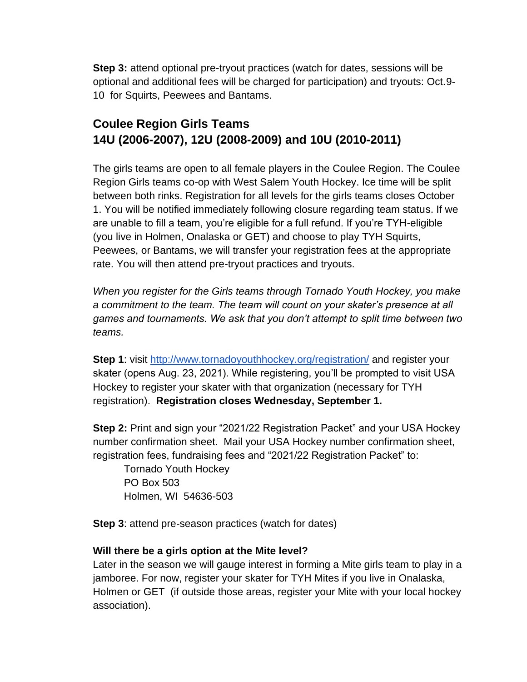**Step 3:** attend optional pre-tryout practices (watch for dates, sessions will be optional and additional fees will be charged for participation) and tryouts: Oct.9- 10 for Squirts, Peewees and Bantams.

# **Coulee Region Girls Teams 14U (2006-2007), 12U (2008-2009) and 10U (2010-2011)**

The girls teams are open to all female players in the Coulee Region. The Coulee Region Girls teams co-op with West Salem Youth Hockey. Ice time will be split between both rinks. Registration for all levels for the girls teams closes October 1. You will be notified immediately following closure regarding team status. If we are unable to fill a team, you're eligible for a full refund. If you're TYH-eligible (you live in Holmen, Onalaska or GET) and choose to play TYH Squirts, Peewees, or Bantams, we will transfer your registration fees at the appropriate rate. You will then attend pre-tryout practices and tryouts.

*When you register for the Girls teams through Tornado Youth Hockey, you make a commitment to the team. The team will count on your skater's presence at all games and tournaments. We ask that you don't attempt to split time between two teams.* 

**Step 1**: visit<http://www.tornadoyouthhockey.org/registration/> and register your skater (opens Aug. 23, 2021). While registering, you'll be prompted to visit USA Hockey to register your skater with that organization (necessary for TYH registration). **Registration closes Wednesday, September 1.**

**Step 2:** Print and sign your "2021/22 Registration Packet" and your USA Hockey number confirmation sheet. Mail your USA Hockey number confirmation sheet, registration fees, fundraising fees and "2021/22 Registration Packet" to:

Tornado Youth Hockey PO Box 503 Holmen, WI 54636-503

**Step 3**: attend pre-season practices (watch for dates)

# **Will there be a girls option at the Mite level?**

Later in the season we will gauge interest in forming a Mite girls team to play in a jamboree. For now, register your skater for TYH Mites if you live in Onalaska, Holmen or GET (if outside those areas, register your Mite with your local hockey association).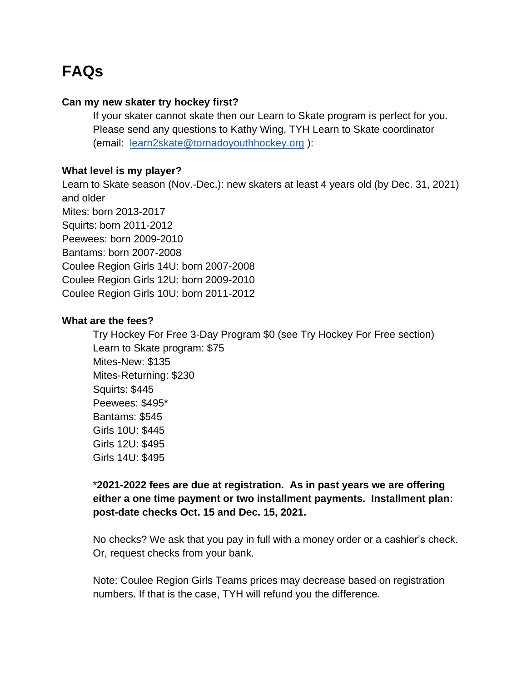# **FAQs**

### **Can my new skater try hockey first?**

If your skater cannot skate then our Learn to Skate program is perfect for you. Please send any questions to Kathy Wing, TYH Learn to Skate coordinator (email: [learn2skate@tornadoyouthhockey.org](mailto:learn2skate@tornadoyouthhockey.org) ):

#### **What level is my player?**

Learn to Skate season (Nov.-Dec.): new skaters at least 4 years old (by Dec. 31, 2021) and older Mites: born 2013-2017 Squirts: born 2011-2012 Peewees: born 2009-2010 Bantams: born 2007-2008 Coulee Region Girls 14U: born 2007-2008 Coulee Region Girls 12U: born 2009-2010 Coulee Region Girls 10U: born 2011-2012

#### **What are the fees?**

Try Hockey For Free 3-Day Program \$0 (see Try Hockey For Free section) Learn to Skate program: \$75 Mites-New: \$135 Mites-Returning: \$230 Squirts: \$445 Peewees: \$495\* Bantams: \$545 Girls 10U: \$445 Girls 12U: \$495 Girls 14U: \$495

# \***2021-2022 fees are due at registration. As in past years we are offering either a one time payment or two installment payments. Installment plan: post-date checks Oct. 15 and Dec. 15, 2021.**

No checks? We ask that you pay in full with a money order or a cashier's check. Or, request checks from your bank.

Note: Coulee Region Girls Teams prices may decrease based on registration numbers. If that is the case, TYH will refund you the difference.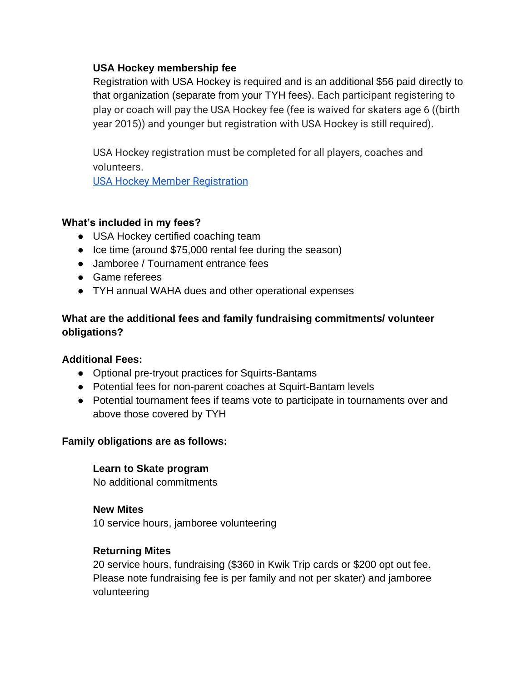# **USA Hockey membership fee**

Registration with USA Hockey is required and is an additional \$56 paid directly to that organization (separate from your TYH fees). Each participant registering to play or coach will pay the USA Hockey fee (fee is waived for skaters age 6 ((birth year 2015)) and younger but registration with USA Hockey is still required).

USA Hockey registration must be completed for all players, coaches and volunteers.

[USA Hockey Member Registration](https://membership.usahockey.com/register/age)

# **What's included in my fees?**

- USA Hockey certified coaching team
- Ice time (around \$75,000 rental fee during the season)
- Jamboree / Tournament entrance fees
- Game referees
- TYH annual WAHA dues and other operational expenses

# **What are the additional fees and family fundraising commitments/ volunteer obligations?**

# **Additional Fees:**

- Optional pre-tryout practices for Squirts-Bantams
- Potential fees for non-parent coaches at Squirt-Bantam levels
- Potential tournament fees if teams vote to participate in tournaments over and above those covered by TYH

# **Family obligations are as follows:**

# **Learn to Skate program**

No additional commitments

# **New Mites**

10 service hours, jamboree volunteering

# **Returning Mites**

20 service hours, fundraising (\$360 in Kwik Trip cards or \$200 opt out fee. Please note fundraising fee is per family and not per skater) and jamboree volunteering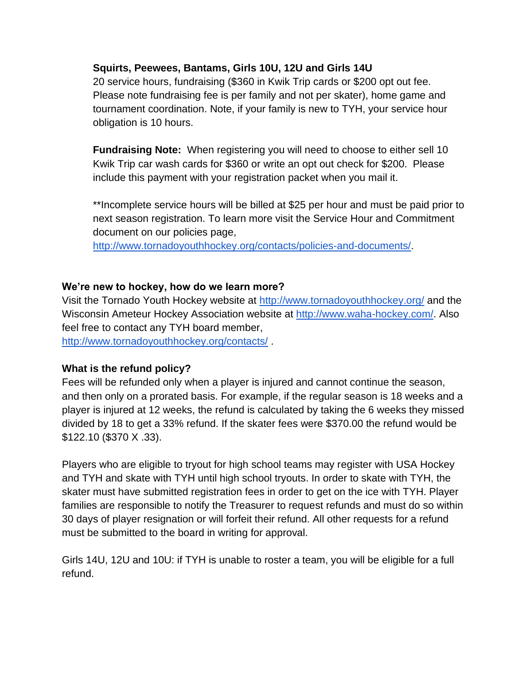### **Squirts, Peewees, Bantams, Girls 10U, 12U and Girls 14U**

20 service hours, fundraising (\$360 in Kwik Trip cards or \$200 opt out fee. Please note fundraising fee is per family and not per skater), home game and tournament coordination. Note, if your family is new to TYH, your service hour obligation is 10 hours.

**Fundraising Note:** When registering you will need to choose to either sell 10 Kwik Trip car wash cards for \$360 or write an opt out check for \$200. Please include this payment with your registration packet when you mail it.

\*\*Incomplete service hours will be billed at \$25 per hour and must be paid prior to next season registration. To learn more visit the Service Hour and Commitment document on our policies page,

[http://www.tornadoyouthhockey.org/contacts/policies-and-documents/.](http://www.tornadoyouthhockey.org/contacts/policies-and-documents/)

### **We're new to hockey, how do we learn more?**

Visit the Tornado Youth Hockey website at<http://www.tornadoyouthhockey.org/> and the Wisconsin Ameteur Hockey Association website at [http://www.waha-hockey.com/.](http://www.waha-hockey.com/) Also feel free to contact any TYH board member,

<http://www.tornadoyouthhockey.org/contacts/> .

# **What is the refund policy?**

Fees will be refunded only when a player is injured and cannot continue the season, and then only on a prorated basis. For example, if the regular season is 18 weeks and a player is injured at 12 weeks, the refund is calculated by taking the 6 weeks they missed divided by 18 to get a 33% refund. If the skater fees were \$370.00 the refund would be \$122.10 (\$370 X .33).

Players who are eligible to tryout for high school teams may register with USA Hockey and TYH and skate with TYH until high school tryouts. In order to skate with TYH, the skater must have submitted registration fees in order to get on the ice with TYH. Player families are responsible to notify the Treasurer to request refunds and must do so within 30 days of player resignation or will forfeit their refund. All other requests for a refund must be submitted to the board in writing for approval.

Girls 14U, 12U and 10U: if TYH is unable to roster a team, you will be eligible for a full refund.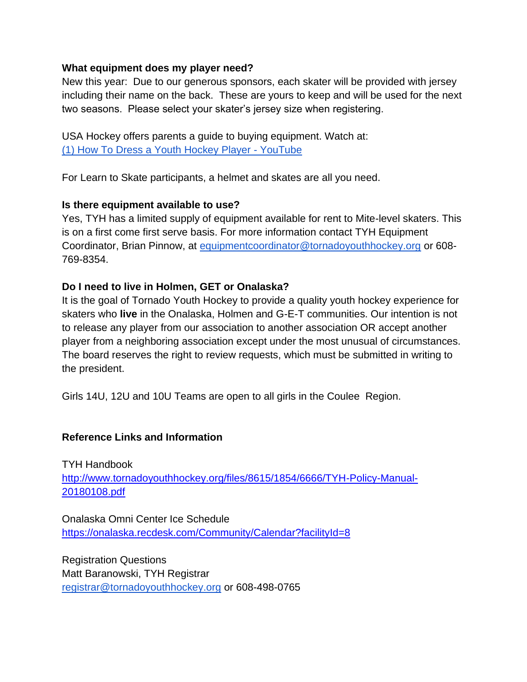### **What equipment does my player need?**

New this year: Due to our generous sponsors, each skater will be provided with jersey including their name on the back. These are yours to keep and will be used for the next two seasons. Please select your skater's jersey size when registering.

USA Hockey offers parents a guide to buying equipment. Watch at: [\(1\) How To Dress a Youth Hockey Player -](https://www.youtube.com/watch?v=AGp1PHRNX60) YouTube

For Learn to Skate participants, a helmet and skates are all you need.

# **Is there equipment available to use?**

Yes, TYH has a limited supply of equipment available for rent to Mite-level skaters. This is on a first come first serve basis. For more information contact TYH Equipment Coordinator, Brian Pinnow, at [equipmentcoordinator@tornadoyouthhockey.org](mailto:equipmentcoordinator@tornadoyouthhockey.org) or 608- 769-8354.

# **Do I need to live in Holmen, GET or Onalaska?**

It is the goal of Tornado Youth Hockey to provide a quality youth hockey experience for skaters who **live** in the Onalaska, Holmen and G-E-T communities. Our intention is not to release any player from our association to another association OR accept another player from a neighboring association except under the most unusual of circumstances. The board reserves the right to review requests, which must be submitted in writing to the president.

Girls 14U, 12U and 10U Teams are open to all girls in the Coulee Region.

# **Reference Links and Information**

TYH Handbook [http://www.tornadoyouthhockey.org/files/8615/1854/6666/TYH-Policy-Manual-](http://www.tornadoyouthhockey.org/files/8615/1854/6666/TYH-Policy-Manual-20180108.pdf)[20180108.pdf](http://www.tornadoyouthhockey.org/files/8615/1854/6666/TYH-Policy-Manual-20180108.pdf)

Onalaska Omni Center Ice Schedule <https://onalaska.recdesk.com/Community/Calendar?facilityId=8>

Registration Questions Matt Baranowski, TYH Registrar [registrar@tornadoyouthhockey.org](mailto:registrar@tornadoyouthhockey.org) or 608-498-0765